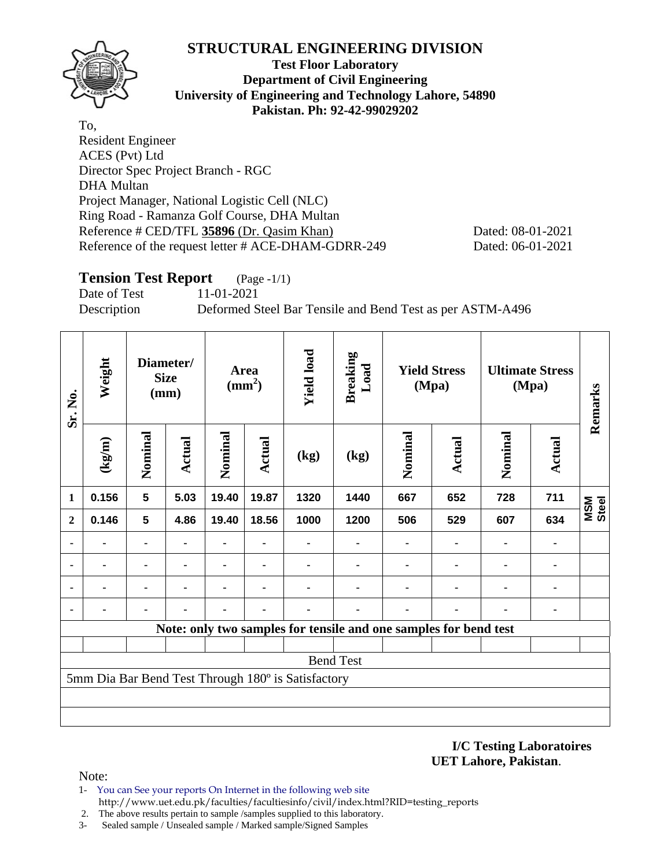

**Test Floor Laboratory Department of Civil Engineering University of Engineering and Technology Lahore, 54890 Pakistan. Ph: 92-42-99029202** 

To, Resident Engineer ACES (Pvt) Ltd Director Spec Project Branch - RGC DHA Multan Project Manager, National Logistic Cell (NLC) Ring Road - Ramanza Golf Course, DHA Multan Reference # CED/TFL **35896** (Dr. Qasim Khan) Dated: 08-01-2021 Reference of the request letter # ACE-DHAM-GDRR-249 Dated: 06-01-2021

# **Tension Test Report** (Page -1/1)

Date of Test 11-01-2021

Description Deformed Steel Bar Tensile and Bend Test as per ASTM-A496

| Sr. No.        | Weight                |                    | Diameter/<br><b>Size</b><br>(mm) |         | <b>Area</b><br>$\text{mm}^2$ ) | <b>Yield load</b>                                  | <b>Breaking</b><br>Load                                          |         | <b>Yield Stress</b><br>(Mpa) |         | <b>Ultimate Stress</b><br>(Mpa) | Remarks             |
|----------------|-----------------------|--------------------|----------------------------------|---------|--------------------------------|----------------------------------------------------|------------------------------------------------------------------|---------|------------------------------|---------|---------------------------------|---------------------|
|                | $\frac{1}{\text{kg}}$ | Nominal            | Actual                           | Nominal | <b>Actual</b>                  | (kg)                                               | (kg)                                                             | Nominal | Actual                       | Nominal | Actual                          |                     |
| 1              | 0.156                 | $5\phantom{.0}$    | 5.03                             | 19.40   | 19.87                          | 1320                                               | 1440                                                             | 667     | 652                          | 728     | 711                             | Steel<br><b>MSM</b> |
| $\overline{2}$ | 0.146                 | 5<br>4.86<br>19.40 |                                  | 18.56   | 1000                           | 1200                                               | 506                                                              | 529     | 607                          | 634     |                                 |                     |
|                |                       |                    |                                  |         |                                |                                                    |                                                                  |         |                              |         |                                 |                     |
| ۰              |                       |                    |                                  |         |                                |                                                    |                                                                  |         |                              | ۰       | ٠                               |                     |
| ٠              |                       |                    |                                  |         |                                |                                                    | $\blacksquare$                                                   |         |                              | ۰       | $\blacksquare$                  |                     |
|                |                       |                    |                                  |         |                                |                                                    |                                                                  |         |                              |         |                                 |                     |
|                |                       |                    |                                  |         |                                |                                                    | Note: only two samples for tensile and one samples for bend test |         |                              |         |                                 |                     |
|                |                       |                    |                                  |         |                                |                                                    |                                                                  |         |                              |         |                                 |                     |
|                |                       |                    |                                  |         |                                |                                                    | <b>Bend Test</b>                                                 |         |                              |         |                                 |                     |
|                |                       |                    |                                  |         |                                | 5mm Dia Bar Bend Test Through 180° is Satisfactory |                                                                  |         |                              |         |                                 |                     |
|                |                       |                    |                                  |         |                                |                                                    |                                                                  |         |                              |         |                                 |                     |
|                |                       |                    |                                  |         |                                |                                                    |                                                                  |         |                              |         |                                 |                     |
|                |                       |                    |                                  |         |                                |                                                    |                                                                  |         |                              |         |                                 |                     |

**I/C Testing Laboratoires UET Lahore, Pakistan**.

- 1- You can See your reports On Internet in the following web site http://www.uet.edu.pk/faculties/facultiesinfo/civil/index.html?RID=testing\_reports
- 2. The above results pertain to sample /samples supplied to this laboratory.
- 3- Sealed sample / Unsealed sample / Marked sample/Signed Samples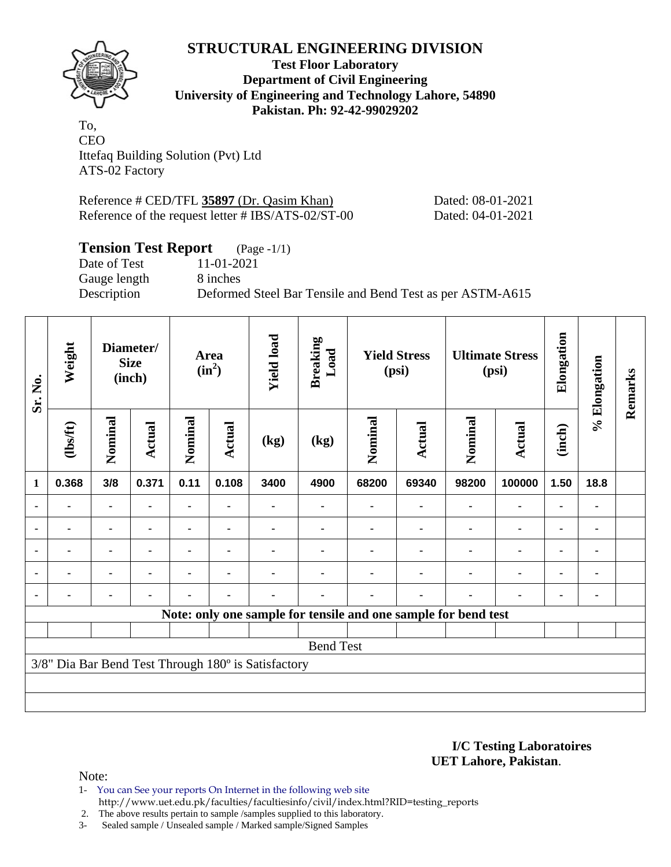

**Test Floor Laboratory Department of Civil Engineering University of Engineering and Technology Lahore, 54890 Pakistan. Ph: 92-42-99029202** 

To, CEO Ittefaq Building Solution (Pvt) Ltd ATS-02 Factory

Reference # CED/TFL **35897** (Dr. Qasim Khan) Dated: 08-01-2021 Reference of the request letter # IBS/ATS-02/ST-00 Dated: 04-01-2021

# **Tension Test Report** (Page -1/1)

Date of Test 11-01-2021 Gauge length 8 inches

Description Deformed Steel Bar Tensile and Bend Test as per ASTM-A615

| Sr. No.      | Weight         |                | Diameter/<br><b>Size</b><br>(inch) |                | Area<br>$(in^2)$ | <b>Yield load</b>                                   | <b>Breaking</b><br>Load |                                                                | <b>Yield Stress</b><br>(psi) |         | <b>Ultimate Stress</b><br>(psi) | Elongation     | % Elongation | Remarks |
|--------------|----------------|----------------|------------------------------------|----------------|------------------|-----------------------------------------------------|-------------------------|----------------------------------------------------------------|------------------------------|---------|---------------------------------|----------------|--------------|---------|
|              | (1bsft)        | Nominal        | Actual                             | Nominal        | <b>Actual</b>    | (kg)                                                | (kg)                    | Nominal                                                        | Actual                       | Nominal | <b>Actual</b>                   | (inch)         |              |         |
| $\mathbf{1}$ | 0.368          | 3/8            | 0.371                              | 0.11           | 0.108            | 3400                                                | 4900                    | 68200                                                          | 69340                        | 98200   | 100000                          | 1.50           | 18.8         |         |
|              |                | ۰              |                                    |                |                  |                                                     |                         |                                                                |                              |         |                                 |                |              |         |
| ٠            |                | ۰              | ٠                                  |                |                  |                                                     |                         |                                                                |                              | ٠       | ۰                               | ٠              |              |         |
|              |                |                | $\blacksquare$                     |                |                  |                                                     |                         |                                                                |                              |         | $\blacksquare$                  | $\blacksquare$ |              |         |
|              | $\blacksquare$ | $\blacksquare$ | $\blacksquare$                     | $\blacksquare$ |                  |                                                     |                         |                                                                |                              |         | $\blacksquare$                  | $\blacksquare$ |              |         |
|              |                | ۰              | ٠                                  |                |                  |                                                     |                         |                                                                |                              |         |                                 | $\blacksquare$ |              |         |
|              |                |                |                                    |                |                  |                                                     |                         | Note: only one sample for tensile and one sample for bend test |                              |         |                                 |                |              |         |
|              |                |                |                                    |                |                  |                                                     |                         |                                                                |                              |         |                                 |                |              |         |
|              |                |                |                                    |                |                  |                                                     | <b>Bend Test</b>        |                                                                |                              |         |                                 |                |              |         |
|              |                |                |                                    |                |                  | 3/8" Dia Bar Bend Test Through 180° is Satisfactory |                         |                                                                |                              |         |                                 |                |              |         |
|              |                |                |                                    |                |                  |                                                     |                         |                                                                |                              |         |                                 |                |              |         |
|              |                |                |                                    |                |                  |                                                     |                         |                                                                |                              |         |                                 |                |              |         |

#### **I/C Testing Laboratoires UET Lahore, Pakistan**.

- 1- You can See your reports On Internet in the following web site http://www.uet.edu.pk/faculties/facultiesinfo/civil/index.html?RID=testing\_reports
- 2. The above results pertain to sample /samples supplied to this laboratory.
- 3- Sealed sample / Unsealed sample / Marked sample/Signed Samples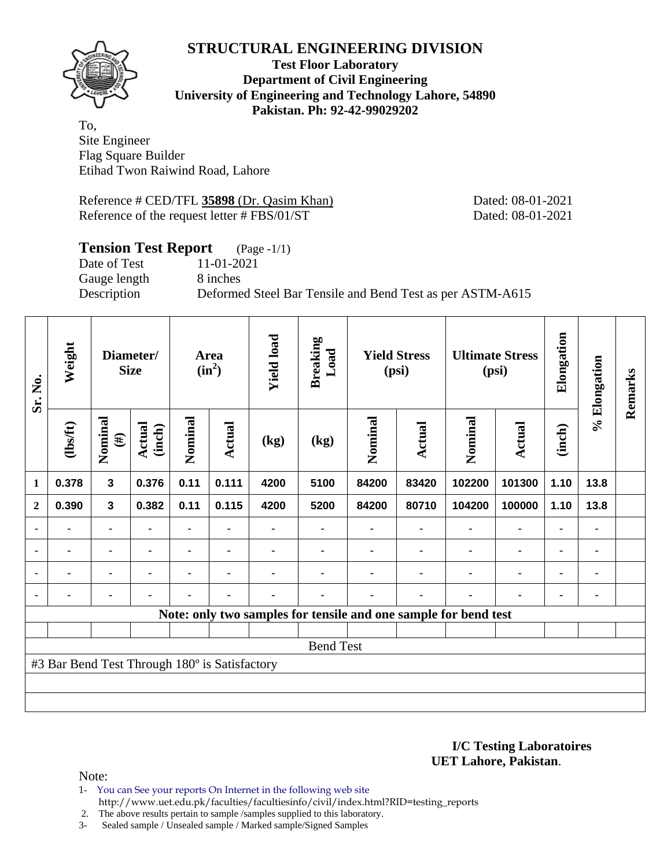

**Test Floor Laboratory Department of Civil Engineering University of Engineering and Technology Lahore, 54890 Pakistan. Ph: 92-42-99029202** 

To, Site Engineer Flag Square Builder Etihad Twon Raiwind Road, Lahore

Reference # CED/TFL **35898** (Dr. Qasim Khan) Dated: 08-01-2021 Reference of the request letter # FBS/01/ST Dated: 08-01-2021

# **Tension Test Report** (Page -1/1) Date of Test 11-01-2021 Gauge length 8 inches Description Deformed Steel Bar Tensile and Bend Test as per ASTM-A615

| Sr. No.        | Weight                                        |                   | Diameter/<br><b>Size</b> |                | Area<br>$(in^2)$ | <b>Yield load</b> | <b>Breaking</b><br>Load |         | <b>Yield Stress</b><br>(psi) |                                                                 | <b>Ultimate Stress</b><br>(psi) | Elongation | % Elongation | Remarks |
|----------------|-----------------------------------------------|-------------------|--------------------------|----------------|------------------|-------------------|-------------------------|---------|------------------------------|-----------------------------------------------------------------|---------------------------------|------------|--------------|---------|
|                | (1bsft)                                       | Nominal<br>$(\#)$ | Actual<br>(inch)         | Nominal        | <b>Actual</b>    | (kg)              | (kg)                    | Nominal | Actual                       | Nominal                                                         | <b>Actual</b>                   | (inch)     |              |         |
| $\mathbf{1}$   | 0.378                                         | $\mathbf{3}$      | 0.376                    | 0.11           | 0.111            | 4200              | 5100                    | 84200   | 83420                        | 102200                                                          | 101300                          | 1.10       | 13.8         |         |
| $\mathbf{2}$   | 0.390                                         | 3                 | 0.382                    | 0.11           | 0.115            | 4200              | 5200                    | 84200   | 80710                        | 104200                                                          | 100000                          | 1.10       | 13.8         |         |
|                |                                               | ٠                 |                          |                |                  |                   |                         |         |                              |                                                                 |                                 |            |              |         |
| $\blacksquare$ |                                               | ۰                 |                          |                |                  |                   |                         |         |                              |                                                                 | ۰                               | ۰          |              |         |
|                |                                               |                   | $\blacksquare$           |                |                  |                   |                         |         |                              |                                                                 | $\blacksquare$                  | ۰          |              |         |
|                | $\blacksquare$                                | ۰                 | $\blacksquare$           | $\blacksquare$ | $\blacksquare$   | $\blacksquare$    |                         |         | $\blacksquare$               | ٠                                                               | ۰                               | ۰          |              |         |
|                |                                               |                   |                          |                |                  |                   |                         |         |                              | Note: only two samples for tensile and one sample for bend test |                                 |            |              |         |
|                |                                               |                   |                          |                |                  |                   |                         |         |                              |                                                                 |                                 |            |              |         |
|                |                                               |                   |                          |                |                  |                   | <b>Bend Test</b>        |         |                              |                                                                 |                                 |            |              |         |
|                | #3 Bar Bend Test Through 180° is Satisfactory |                   |                          |                |                  |                   |                         |         |                              |                                                                 |                                 |            |              |         |
|                |                                               |                   |                          |                |                  |                   |                         |         |                              |                                                                 |                                 |            |              |         |
|                |                                               |                   |                          |                |                  |                   |                         |         |                              |                                                                 |                                 |            |              |         |

**I/C Testing Laboratoires UET Lahore, Pakistan**.

- 1- You can See your reports On Internet in the following web site http://www.uet.edu.pk/faculties/facultiesinfo/civil/index.html?RID=testing\_reports
- 2. The above results pertain to sample /samples supplied to this laboratory.
- 3- Sealed sample / Unsealed sample / Marked sample/Signed Samples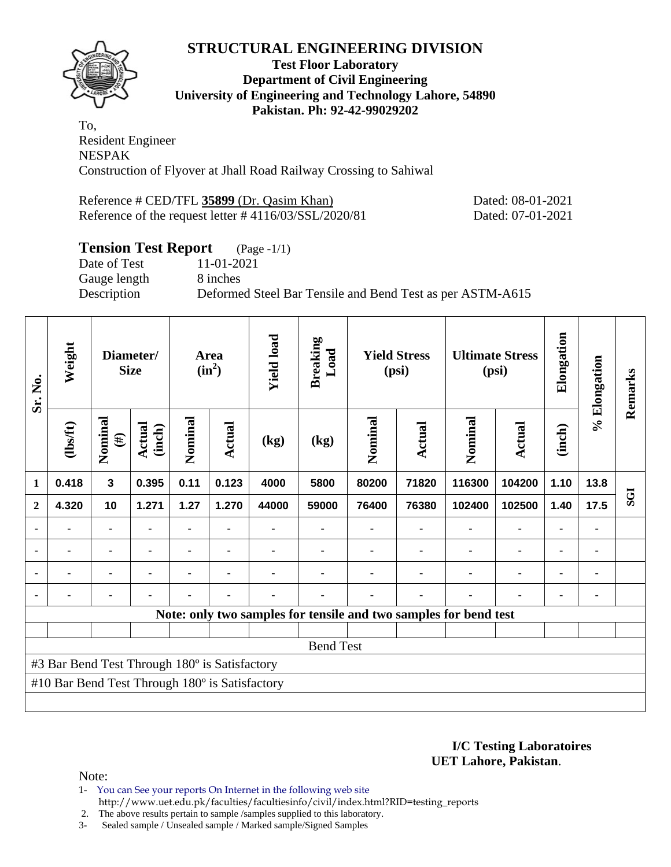

## **Test Floor Laboratory Department of Civil Engineering University of Engineering and Technology Lahore, 54890 Pakistan. Ph: 92-42-99029202**

To, Resident Engineer NESPAK Construction of Flyover at Jhall Road Railway Crossing to Sahiwal

Reference # CED/TFL 35899 (Dr. Qasim Khan) Dated: 08-01-2021 Reference of the request letter # 4116/03/SSL/2020/81 Dated: 07-01-2021

# **Tension Test Report** (Page -1/1)

Date of Test 11-01-2021 Gauge length 8 inches

Description Deformed Steel Bar Tensile and Bend Test as per ASTM-A615

| Sr. No.      | Weight                                         |                   | Diameter/<br><b>Size</b> |         | Area<br>$(in^2)$ | <b>Yield load</b> | <b>Breaking</b><br>Load |         | <b>Yield Stress</b><br>(psi) |                                                                  | <b>Ultimate Stress</b><br>(psi) | Elongation     | % Elongation   | Remarks    |
|--------------|------------------------------------------------|-------------------|--------------------------|---------|------------------|-------------------|-------------------------|---------|------------------------------|------------------------------------------------------------------|---------------------------------|----------------|----------------|------------|
|              | (lbs/ft)                                       | Nominal<br>$(\#)$ | <b>Actual</b><br>(inch)  | Nominal | Actual           | (kg)              | (kg)                    | Nominal | Actual                       | Nominal                                                          | <b>Actual</b>                   | (inch)         |                |            |
| $\mathbf{1}$ | 0.418                                          | $\mathbf{3}$      | 0.395                    | 0.11    | 0.123            | 4000              | 5800                    | 80200   | 71820                        | 116300                                                           | 104200                          | 1.10           | 13.8           |            |
| $\mathbf{2}$ | 4.320                                          | 10                | 1.271                    | 1.27    | 1.270            | 44000             | 59000                   | 76400   | 76380                        | 102400                                                           | 102500                          | 1.40           | 17.5           | <b>ESS</b> |
|              |                                                | $\blacksquare$    | ۰                        |         | $\blacksquare$   |                   |                         |         | $\blacksquare$               | $\blacksquare$                                                   | $\blacksquare$                  | $\blacksquare$ | $\blacksquare$ |            |
|              | $\blacksquare$                                 | $\blacksquare$    | $\blacksquare$           |         | $\blacksquare$   |                   |                         |         | ٠                            | $\blacksquare$                                                   | $\blacksquare$                  | $\blacksquare$ | $\blacksquare$ |            |
|              |                                                | $\blacksquare$    | $\blacksquare$           |         | ٠                |                   |                         |         |                              |                                                                  | $\blacksquare$                  | $\blacksquare$ | $\blacksquare$ |            |
|              |                                                | $\blacksquare$    |                          |         |                  |                   |                         |         |                              |                                                                  |                                 | $\blacksquare$ |                |            |
|              |                                                |                   |                          |         |                  |                   |                         |         |                              | Note: only two samples for tensile and two samples for bend test |                                 |                |                |            |
|              |                                                |                   |                          |         |                  |                   |                         |         |                              |                                                                  |                                 |                |                |            |
|              |                                                |                   |                          |         |                  |                   | <b>Bend Test</b>        |         |                              |                                                                  |                                 |                |                |            |
|              | #3 Bar Bend Test Through 180° is Satisfactory  |                   |                          |         |                  |                   |                         |         |                              |                                                                  |                                 |                |                |            |
|              | #10 Bar Bend Test Through 180° is Satisfactory |                   |                          |         |                  |                   |                         |         |                              |                                                                  |                                 |                |                |            |
|              |                                                |                   |                          |         |                  |                   |                         |         |                              |                                                                  |                                 |                |                |            |

**I/C Testing Laboratoires UET Lahore, Pakistan**.

- 1- You can See your reports On Internet in the following web site
	- http://www.uet.edu.pk/faculties/facultiesinfo/civil/index.html?RID=testing\_reports
- 2. The above results pertain to sample /samples supplied to this laboratory.
- 3- Sealed sample / Unsealed sample / Marked sample/Signed Samples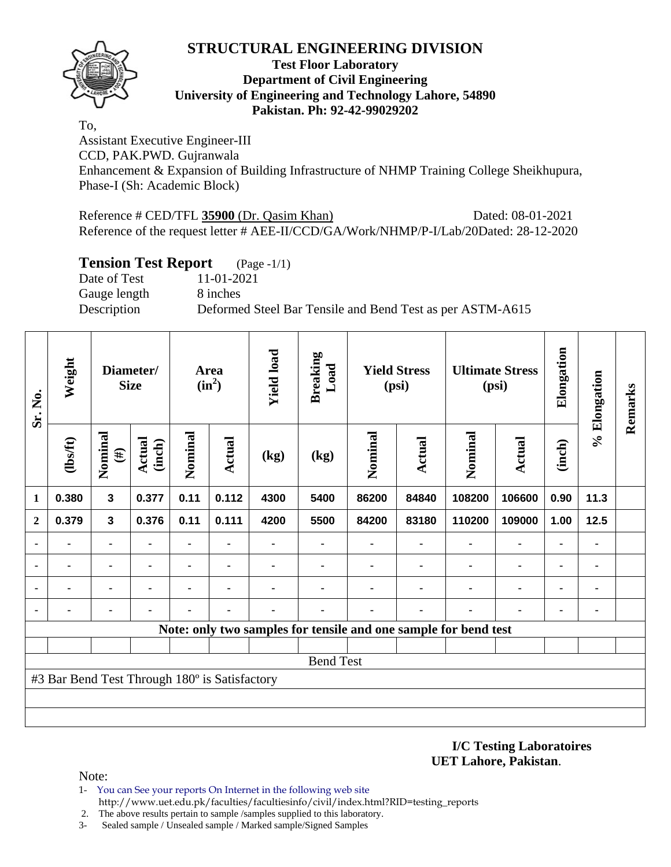

## **Test Floor Laboratory Department of Civil Engineering University of Engineering and Technology Lahore, 54890 Pakistan. Ph: 92-42-99029202**

To,

Assistant Executive Engineer-III CCD, PAK.PWD. Gujranwala Enhancement & Expansion of Building Infrastructure of NHMP Training College Sheikhupura, Phase-I (Sh: Academic Block)

Reference # CED/TFL **35900** (Dr. Qasim Khan) Dated: 08-01-2021 Reference of the request letter # AEE-II/CCD/GA/Work/NHMP/P-I/Lab/20Dated: 28-12-2020

## **Tension Test Report** (Page -1/1)

Date of Test 11-01-2021 Gauge length 8 inches

Description Deformed Steel Bar Tensile and Bend Test as per ASTM-A615

| Sr. No.        | Weight                                        |                   | Diameter/<br><b>Size</b>                                                |      | Area<br>$(in^2)$ | <b>Yield load</b> | <b>Breaking</b><br>Load |               | <b>Yield Stress</b><br>(psi) |                                                                 | <b>Ultimate Stress</b><br>(psi) | Elongation | % Elongation | Remarks |
|----------------|-----------------------------------------------|-------------------|-------------------------------------------------------------------------|------|------------------|-------------------|-------------------------|---------------|------------------------------|-----------------------------------------------------------------|---------------------------------|------------|--------------|---------|
|                | (1bs/ft)                                      | Nominal<br>$(\#)$ | Nominal<br>Nominal<br>Actual<br><b>Actual</b><br>(inch)<br>(kg)<br>(kg) |      |                  | <b>Actual</b>     | Nominal                 | <b>Actual</b> | (inch)                       |                                                                 |                                 |            |              |         |
| 1              | 0.380                                         | $\mathbf{3}$      | 0.377                                                                   | 0.11 | 0.112            | 4300              | 5400                    | 86200         | 84840                        | 108200                                                          | 106600                          | 0.90       | 11.3         |         |
| $\mathbf{2}$   | 0.379                                         | 3                 | 0.376                                                                   | 0.11 | 0.111            | 4200              | 5500                    | 84200         | 83180                        | 110200                                                          | 109000                          | 1.00       | 12.5         |         |
| $\blacksquare$ | $\blacksquare$                                | $\blacksquare$    | $\blacksquare$                                                          | -    |                  |                   |                         |               |                              |                                                                 | $\blacksquare$                  |            |              |         |
|                | $\blacksquare$                                | ۰                 | $\blacksquare$                                                          |      | $\blacksquare$   |                   |                         |               |                              | ٠                                                               | ۰                               | ٠          |              |         |
|                |                                               | ۰                 |                                                                         |      |                  |                   |                         |               |                              |                                                                 | ۰                               | ٠          |              |         |
|                |                                               | ٠                 |                                                                         |      |                  |                   |                         |               |                              |                                                                 |                                 |            |              |         |
|                |                                               |                   |                                                                         |      |                  |                   |                         |               |                              | Note: only two samples for tensile and one sample for bend test |                                 |            |              |         |
|                |                                               |                   |                                                                         |      |                  |                   |                         |               |                              |                                                                 |                                 |            |              |         |
|                |                                               |                   |                                                                         |      |                  |                   | <b>Bend Test</b>        |               |                              |                                                                 |                                 |            |              |         |
|                | #3 Bar Bend Test Through 180° is Satisfactory |                   |                                                                         |      |                  |                   |                         |               |                              |                                                                 |                                 |            |              |         |
|                |                                               |                   |                                                                         |      |                  |                   |                         |               |                              |                                                                 |                                 |            |              |         |
|                |                                               |                   |                                                                         |      |                  |                   |                         |               |                              |                                                                 |                                 |            |              |         |

#### **I/C Testing Laboratoires UET Lahore, Pakistan**.

- 1- You can See your reports On Internet in the following web site http://www.uet.edu.pk/faculties/facultiesinfo/civil/index.html?RID=testing\_reports
- 2. The above results pertain to sample /samples supplied to this laboratory.
- 3- Sealed sample / Unsealed sample / Marked sample/Signed Samples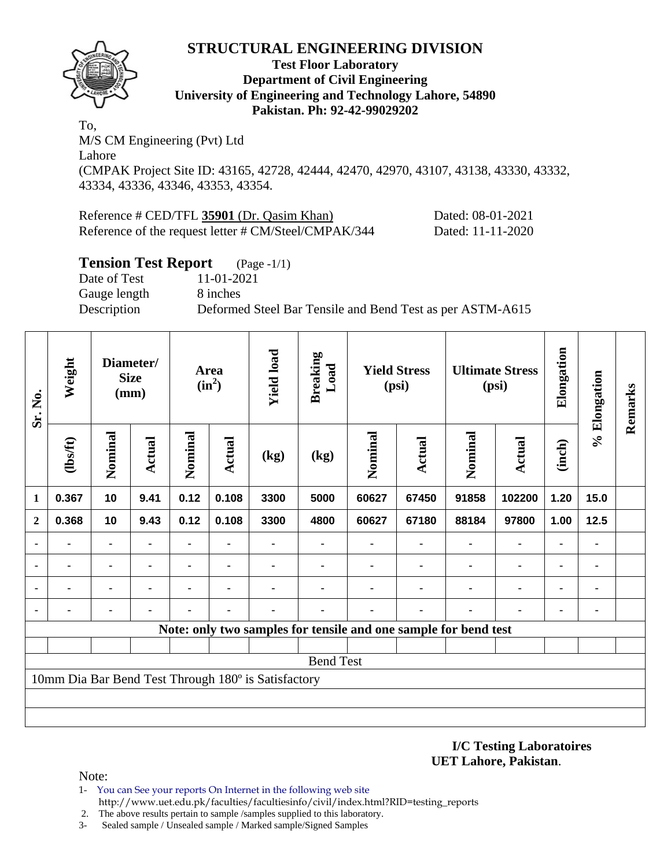

## **Test Floor Laboratory Department of Civil Engineering University of Engineering and Technology Lahore, 54890 Pakistan. Ph: 92-42-99029202**

To, M/S CM Engineering (Pvt) Ltd Lahore (CMPAK Project Site ID: 43165, 42728, 42444, 42470, 42970, 43107, 43138, 43330, 43332, 43334, 43336, 43346, 43353, 43354.

| Reference # CED/TFL 35901 (Dr. Qasim Khan)           | Dated: 08-01-2021 |
|------------------------------------------------------|-------------------|
| Reference of the request letter # CM/Steel/CMPAK/344 | Dated: 11-11-2020 |

## **Tension Test Report** (Page -1/1)

Date of Test 11-01-2021 Gauge length 8 inches

Description Deformed Steel Bar Tensile and Bend Test as per ASTM-A615

| Sr. No.        | Weight         |                | Diameter/<br><b>Size</b><br>(mm) |                | <b>Area</b><br>$(in^2)$ | <b>Yield load</b>                                   | <b>Breaking</b><br>Load |         | <b>Yield Stress</b><br>(psi)                                    |         | <b>Ultimate Stress</b><br>(psi) | Elongation     | % Elongation | Remarks |
|----------------|----------------|----------------|----------------------------------|----------------|-------------------------|-----------------------------------------------------|-------------------------|---------|-----------------------------------------------------------------|---------|---------------------------------|----------------|--------------|---------|
|                | $\frac{2}{10}$ | Nominal        | <b>Actual</b>                    | Nominal        | <b>Actual</b>           | (kg)                                                | (kg)                    | Nominal | Actual                                                          | Nominal | Actual                          | (inch)         |              |         |
| 1              | 0.367          | 10             | 9.41                             | 0.12           | 0.108                   | 3300                                                | 5000                    | 60627   | 67450                                                           | 91858   | 102200                          | 1.20           | 15.0         |         |
| $\mathbf{2}$   | 0.368          | 10             | 9.43                             | 0.12           | 0.108                   | 3300                                                | 4800                    | 60627   | 67180                                                           | 88184   | 97800                           | 1.00           | 12.5         |         |
|                | ۰              | $\blacksquare$ | ٠                                |                | ٠                       |                                                     |                         |         | ۰                                                               |         | $\blacksquare$                  | $\blacksquare$ | ٠            |         |
| $\blacksquare$ |                | ۰              |                                  | $\blacksquare$ |                         |                                                     |                         |         |                                                                 |         | $\blacksquare$                  | $\blacksquare$ | ٠            |         |
| ٠              |                | ۰              |                                  |                |                         |                                                     |                         |         |                                                                 |         | $\blacksquare$                  | $\blacksquare$ | ٠            |         |
| $\blacksquare$ | $\blacksquare$ | ٠              | ٠                                |                |                         |                                                     |                         |         | $\blacksquare$                                                  |         |                                 | $\blacksquare$ | ٠            |         |
|                |                |                |                                  |                |                         |                                                     |                         |         | Note: only two samples for tensile and one sample for bend test |         |                                 |                |              |         |
|                |                |                |                                  |                |                         |                                                     |                         |         |                                                                 |         |                                 |                |              |         |
|                |                |                |                                  |                |                         |                                                     | <b>Bend Test</b>        |         |                                                                 |         |                                 |                |              |         |
|                |                |                |                                  |                |                         | 10mm Dia Bar Bend Test Through 180° is Satisfactory |                         |         |                                                                 |         |                                 |                |              |         |
|                |                |                |                                  |                |                         |                                                     |                         |         |                                                                 |         |                                 |                |              |         |
|                |                |                |                                  |                |                         |                                                     |                         |         |                                                                 |         |                                 |                |              |         |

#### **I/C Testing Laboratoires UET Lahore, Pakistan**.

- 1- You can See your reports On Internet in the following web site http://www.uet.edu.pk/faculties/facultiesinfo/civil/index.html?RID=testing\_reports
- 2. The above results pertain to sample /samples supplied to this laboratory.
- 3- Sealed sample / Unsealed sample / Marked sample/Signed Samples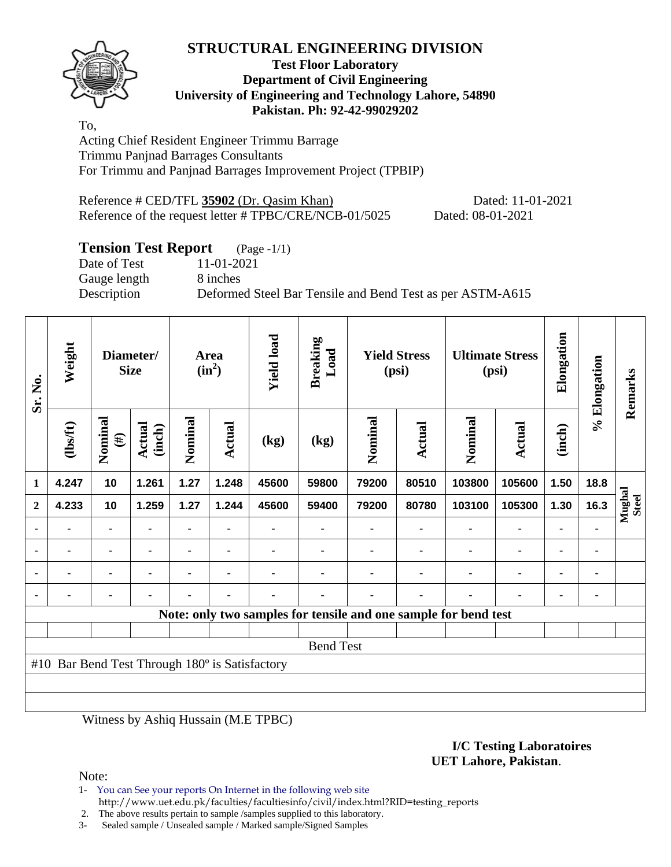

## **Test Floor Laboratory Department of Civil Engineering University of Engineering and Technology Lahore, 54890 Pakistan. Ph: 92-42-99029202**

To, Acting Chief Resident Engineer Trimmu Barrage Trimmu Panjnad Barrages Consultants For Trimmu and Panjnad Barrages Improvement Project (TPBIP)

Reference # CED/TFL **35902** (Dr. Qasim Khan) Dated: 11-01-2021 Reference of the request letter # TPBC/CRE/NCB-01/5025 Dated: 08-01-2021

# **Tension Test Report** (Page -1/1)

Gauge length 8 inches

Date of Test 11-01-2021 Description Deformed Steel Bar Tensile and Bend Test as per ASTM-A615

| Sr. No.      | Weight                                         |                   | Diameter/<br><b>Size</b> |         | Area<br>$(in^2)$ | <b>Yield load</b> | <b>Breaking</b><br>Load                                         |                | <b>Yield Stress</b><br>(psi) |         | <b>Ultimate Stress</b><br>(psi) | Elongation     | % Elongation   | Remarks                |
|--------------|------------------------------------------------|-------------------|--------------------------|---------|------------------|-------------------|-----------------------------------------------------------------|----------------|------------------------------|---------|---------------------------------|----------------|----------------|------------------------|
|              | (1bsft)                                        | Nominal<br>$(\#)$ | <b>Actual</b><br>(inch)  | Nominal | Actual           | (kg)              | (kg)                                                            | Nominal        | <b>Actual</b>                | Nominal | Actual                          | (inch)         |                |                        |
| 1            | 4.247                                          | 10                | 1.261                    | 1.27    | 1.248            | 45600             | 59800                                                           | 79200          | 80510                        | 103800  | 105600                          | 1.50           | 18.8           |                        |
| $\mathbf{2}$ | 4.233                                          | 10                | 1.259                    | 1.27    | 1.244            | 45600             | 59400                                                           | 79200          | 80780                        | 103100  | 105300                          | 1.30           | 16.3           | Mughal<br><b>Steel</b> |
|              |                                                |                   |                          |         |                  |                   |                                                                 |                |                              |         |                                 |                |                |                        |
|              | $\blacksquare$                                 | $\blacksquare$    |                          |         | ۰                |                   | ۰                                                               |                |                              |         | $\blacksquare$                  | $\blacksquare$ | ٠              |                        |
|              |                                                | $\blacksquare$    |                          |         | $\blacksquare$   |                   |                                                                 |                |                              | ٠       | $\blacksquare$                  | $\blacksquare$ | $\blacksquare$ |                        |
|              | $\blacksquare$                                 | $\blacksquare$    |                          | ٠       | ٠                | $\blacksquare$    | ۰                                                               | $\blacksquare$ |                              | ٠       | $\blacksquare$                  | ٠              | $\blacksquare$ |                        |
|              |                                                |                   |                          |         |                  |                   | Note: only two samples for tensile and one sample for bend test |                |                              |         |                                 |                |                |                        |
|              |                                                |                   |                          |         |                  |                   |                                                                 |                |                              |         |                                 |                |                |                        |
|              |                                                |                   |                          |         |                  |                   | <b>Bend Test</b>                                                |                |                              |         |                                 |                |                |                        |
|              | #10 Bar Bend Test Through 180° is Satisfactory |                   |                          |         |                  |                   |                                                                 |                |                              |         |                                 |                |                |                        |
|              |                                                |                   |                          |         |                  |                   |                                                                 |                |                              |         |                                 |                |                |                        |
|              |                                                |                   |                          |         |                  |                   |                                                                 |                |                              |         |                                 |                |                |                        |

Witness by Ashiq Hussain (M.E TPBC)

#### **I/C Testing Laboratoires UET Lahore, Pakistan**.

Note:

1- You can See your reports On Internet in the following web site http://www.uet.edu.pk/faculties/facultiesinfo/civil/index.html?RID=testing\_reports

2. The above results pertain to sample /samples supplied to this laboratory.

3- Sealed sample / Unsealed sample / Marked sample/Signed Samples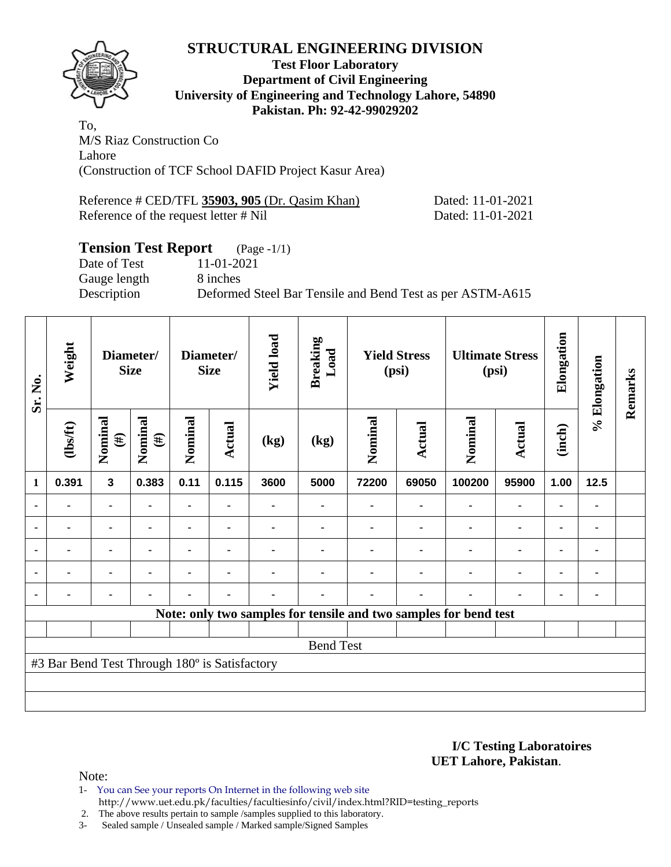

## **Test Floor Laboratory Department of Civil Engineering University of Engineering and Technology Lahore, 54890 Pakistan. Ph: 92-42-99029202**

To, M/S Riaz Construction Co Lahore (Construction of TCF School DAFID Project Kasur Area)

| Reference # CED/TFL 35903, 905 (Dr. Qasim Khan) | Dated: 11-01-2021 |
|-------------------------------------------------|-------------------|
| Reference of the request letter # Nil           | Dated: 11-01-2021 |

# **Tension Test Report** (Page -1/1)

Date of Test 11-01-2021 Gauge length 8 inches

Description Deformed Steel Bar Tensile and Bend Test as per ASTM-A615

| Sr. No.        | Weight                                        |                   | Diameter/<br><b>Size</b> |                | Diameter/<br><b>Size</b> | <b>Yield load</b> | <b>Breaking</b><br>Load |         | <b>Yield Stress</b><br>(psi) |                                                                  | <b>Ultimate Stress</b><br>(psi) | Elongation     | % Elongation   | Remarks |
|----------------|-----------------------------------------------|-------------------|--------------------------|----------------|--------------------------|-------------------|-------------------------|---------|------------------------------|------------------------------------------------------------------|---------------------------------|----------------|----------------|---------|
|                | $\frac{2}{10}$                                | Nominal<br>$(\#)$ | Nominal<br>$(\#)$        | Nominal        | <b>Actual</b>            | (kg)              | (kg)                    | Nominal | Actual                       | Nominal                                                          | <b>Actual</b>                   | (inch)         |                |         |
| 1              | 0.391                                         | $\mathbf{3}$      | 0.383                    | 0.11           | 0.115                    | 3600              | 5000                    | 72200   | 69050                        | 100200                                                           | 95900                           | 1.00           | 12.5           |         |
|                | -                                             | $\blacksquare$    |                          | $\blacksquare$ |                          |                   |                         |         |                              |                                                                  | $\blacksquare$                  |                |                |         |
|                |                                               | ٠                 | $\blacksquare$           |                | $\blacksquare$           |                   |                         |         |                              |                                                                  | ٠                               | $\blacksquare$ | ٠              |         |
|                |                                               | ۰                 |                          |                |                          |                   |                         |         |                              |                                                                  | $\blacksquare$                  | $\blacksquare$ | $\blacksquare$ |         |
| $\blacksquare$ |                                               | ۰                 |                          |                |                          |                   |                         |         |                              |                                                                  | $\blacksquare$                  | $\blacksquare$ | ۰              |         |
|                | -                                             | ۰                 |                          |                |                          |                   |                         |         |                              |                                                                  |                                 | $\blacksquare$ | $\blacksquare$ |         |
|                |                                               |                   |                          |                |                          |                   |                         |         |                              | Note: only two samples for tensile and two samples for bend test |                                 |                |                |         |
|                |                                               |                   |                          |                |                          |                   |                         |         |                              |                                                                  |                                 |                |                |         |
|                |                                               |                   |                          |                |                          |                   | <b>Bend Test</b>        |         |                              |                                                                  |                                 |                |                |         |
|                | #3 Bar Bend Test Through 180° is Satisfactory |                   |                          |                |                          |                   |                         |         |                              |                                                                  |                                 |                |                |         |
|                |                                               |                   |                          |                |                          |                   |                         |         |                              |                                                                  |                                 |                |                |         |
|                |                                               |                   |                          |                |                          |                   |                         |         |                              |                                                                  |                                 |                |                |         |

**I/C Testing Laboratoires UET Lahore, Pakistan**.

Note:

1- You can See your reports On Internet in the following web site

http://www.uet.edu.pk/faculties/facultiesinfo/civil/index.html?RID=testing\_reports

2. The above results pertain to sample /samples supplied to this laboratory.

3- Sealed sample / Unsealed sample / Marked sample/Signed Samples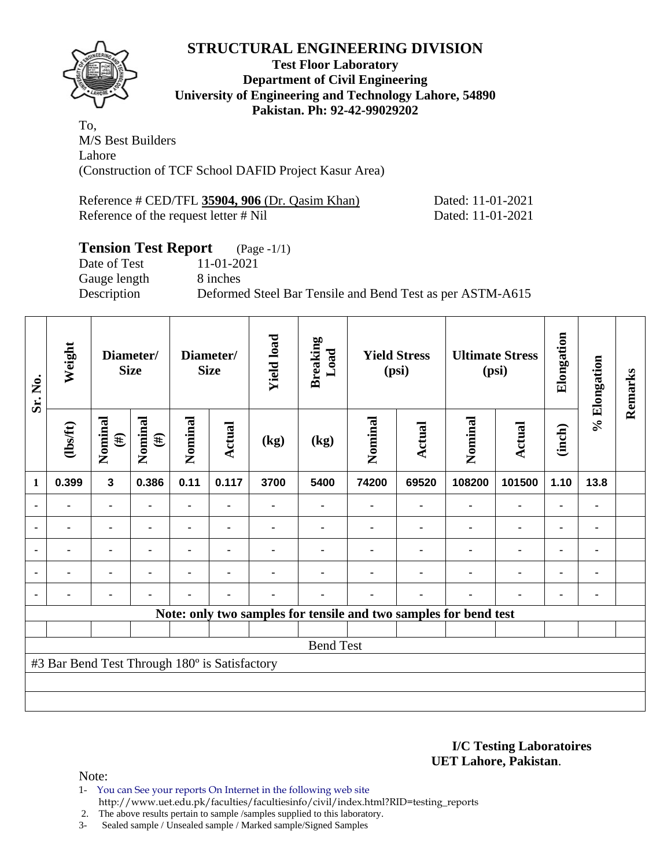

## **Test Floor Laboratory Department of Civil Engineering University of Engineering and Technology Lahore, 54890 Pakistan. Ph: 92-42-99029202**

To, M/S Best Builders Lahore (Construction of TCF School DAFID Project Kasur Area)

| Reference # CED/TFL 35904, 906 (Dr. Qasim Khan) | Dated: 11-01-2021 |
|-------------------------------------------------|-------------------|
| Reference of the request letter # Nil           | Dated: 11-01-2021 |

# **Tension Test Report** (Page -1/1)

Date of Test 11-01-2021 Gauge length 8 inches

Description Deformed Steel Bar Tensile and Bend Test as per ASTM-A615

| Sr. No.      | Weight                                        |                         | Diameter/<br><b>Size</b> |                | Diameter/<br><b>Size</b> | <b>Yield load</b> | <b>Breaking</b><br>Load |         | <b>Yield Stress</b><br>(psi) |                                                                  | <b>Ultimate Stress</b><br>(psi) | Elongation | Elongation              | Remarks |
|--------------|-----------------------------------------------|-------------------------|--------------------------|----------------|--------------------------|-------------------|-------------------------|---------|------------------------------|------------------------------------------------------------------|---------------------------------|------------|-------------------------|---------|
|              | (1bsft)                                       | Nominal<br>$(\#)$       | Nominal<br>$(\#)$        | Nominal        | <b>Actual</b>            | (kg)              | (kg)                    | Nominal | <b>Actual</b>                | Nominal                                                          | <b>Actual</b>                   | (inch)     | $\mathcal{S}_{\bullet}$ |         |
| $\mathbf{1}$ | 0.399                                         | $\overline{\mathbf{3}}$ | 0.386                    | 0.11           | 0.117                    | 3700              | 5400                    | 74200   | 69520                        | 108200                                                           | 101500                          | 1.10       | 13.8                    |         |
|              |                                               | ۰                       |                          | -              |                          |                   |                         |         |                              |                                                                  | ٠                               |            | ۰                       |         |
|              |                                               | ٠                       |                          | $\blacksquare$ | ٠                        |                   |                         |         |                              |                                                                  | $\blacksquare$                  |            | ٠                       |         |
|              |                                               | $\blacksquare$          |                          |                |                          |                   |                         |         |                              |                                                                  |                                 |            | ٠                       |         |
|              | ٠                                             | ۰                       |                          | ۰              | ۰                        |                   |                         |         |                              |                                                                  | ٠                               | ٠          | ۰                       |         |
|              |                                               | ٠                       |                          |                | ٠                        |                   |                         |         |                              |                                                                  | ٠                               |            | ٠                       |         |
|              |                                               |                         |                          |                |                          |                   |                         |         |                              | Note: only two samples for tensile and two samples for bend test |                                 |            |                         |         |
|              |                                               |                         |                          |                |                          |                   |                         |         |                              |                                                                  |                                 |            |                         |         |
|              |                                               |                         |                          |                |                          |                   | <b>Bend Test</b>        |         |                              |                                                                  |                                 |            |                         |         |
|              | #3 Bar Bend Test Through 180° is Satisfactory |                         |                          |                |                          |                   |                         |         |                              |                                                                  |                                 |            |                         |         |
|              |                                               |                         |                          |                |                          |                   |                         |         |                              |                                                                  |                                 |            |                         |         |
|              |                                               |                         |                          |                |                          |                   |                         |         |                              |                                                                  |                                 |            |                         |         |

#### **I/C Testing Laboratoires UET Lahore, Pakistan**.

- 1- You can See your reports On Internet in the following web site
	- http://www.uet.edu.pk/faculties/facultiesinfo/civil/index.html?RID=testing\_reports
- 2. The above results pertain to sample /samples supplied to this laboratory.
- 3- Sealed sample / Unsealed sample / Marked sample/Signed Samples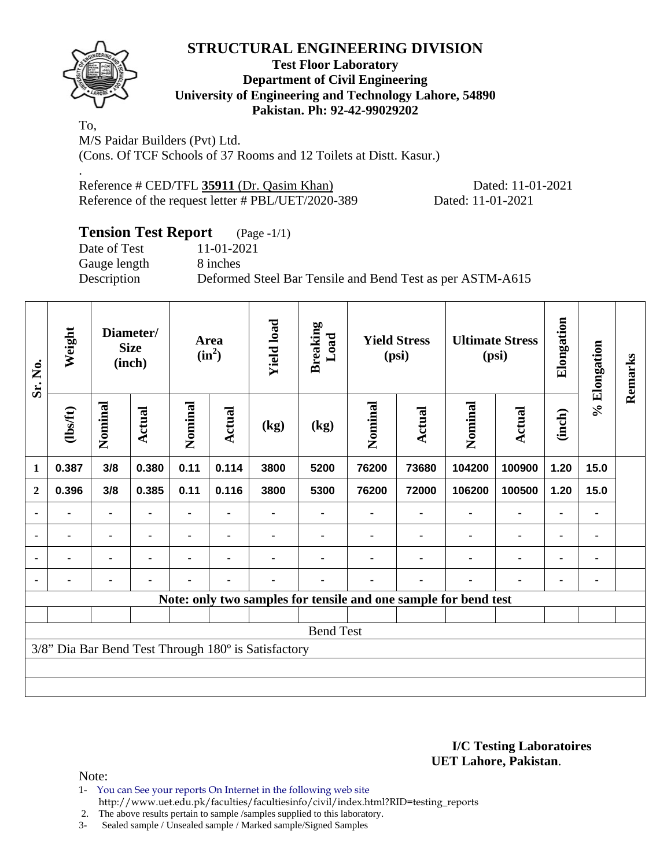

.

## **Test Floor Laboratory Department of Civil Engineering University of Engineering and Technology Lahore, 54890 Pakistan. Ph: 92-42-99029202**

To, M/S Paidar Builders (Pvt) Ltd. (Cons. Of TCF Schools of 37 Rooms and 12 Toilets at Distt. Kasur.)

Reference # CED/TFL 35911 (Dr. Qasim Khan) Dated: 11-01-2021 Reference of the request letter # PBL/UET/2020-389 Dated: 11-01-2021

## **Tension Test Report** (Page -1/1) Date of Test 11-01-2021 Gauge length 8 inches Description Deformed Steel Bar Tensile and Bend Test as per ASTM-A615

| Sr. No.                                                         | Weight         | Diameter/<br><b>Size</b><br>(inch) |                | <b>Area</b><br>$(in^2)$ |        | <b>Yield load</b> | <b>Breaking</b><br>Load | <b>Yield Stress</b><br>(psi) |               | <b>Ultimate Stress</b><br>(psi) |                | Elongation     | % Elongation   | Remarks |
|-----------------------------------------------------------------|----------------|------------------------------------|----------------|-------------------------|--------|-------------------|-------------------------|------------------------------|---------------|---------------------------------|----------------|----------------|----------------|---------|
|                                                                 | $\frac{2}{10}$ | Nominal                            | Actual         | Nominal                 | Actual | (kg)              | (kg)                    | Nominal                      | <b>Actual</b> | Nominal                         | <b>Actual</b>  | (inch)         |                |         |
| 1                                                               | 0.387          | 3/8                                | 0.380          | 0.11                    | 0.114  | 3800              | 5200                    | 76200                        | 73680         | 104200                          | 100900         | 1.20           | 15.0           |         |
| $\mathbf{2}$                                                    | 0.396          | 3/8                                | 0.385          | 0.11                    | 0.116  | 3800              | 5300                    | 76200                        | 72000         | 106200                          | 100500         | 1.20           | 15.0           |         |
|                                                                 |                | $\blacksquare$                     | $\blacksquare$ |                         |        |                   |                         |                              |               |                                 | $\blacksquare$ | $\blacksquare$ | ٠              |         |
|                                                                 |                | ۰                                  |                |                         |        |                   |                         |                              |               |                                 | ٠              | $\blacksquare$ | $\blacksquare$ |         |
| ٠                                                               |                | ۰                                  |                |                         |        |                   |                         |                              |               |                                 | ٠              | $\blacksquare$ | ٠              |         |
| $\blacksquare$                                                  |                | ۰                                  | ٠              |                         |        |                   |                         |                              |               |                                 |                | $\blacksquare$ | $\blacksquare$ |         |
| Note: only two samples for tensile and one sample for bend test |                |                                    |                |                         |        |                   |                         |                              |               |                                 |                |                |                |         |
|                                                                 |                |                                    |                |                         |        |                   |                         |                              |               |                                 |                |                |                |         |
| <b>Bend Test</b>                                                |                |                                    |                |                         |        |                   |                         |                              |               |                                 |                |                |                |         |
| 3/8" Dia Bar Bend Test Through 180° is Satisfactory             |                |                                    |                |                         |        |                   |                         |                              |               |                                 |                |                |                |         |
|                                                                 |                |                                    |                |                         |        |                   |                         |                              |               |                                 |                |                |                |         |
|                                                                 |                |                                    |                |                         |        |                   |                         |                              |               |                                 |                |                |                |         |

#### **I/C Testing Laboratoires UET Lahore, Pakistan**.

- 1- You can See your reports On Internet in the following web site http://www.uet.edu.pk/faculties/facultiesinfo/civil/index.html?RID=testing\_reports
- 2. The above results pertain to sample /samples supplied to this laboratory.
- 3- Sealed sample / Unsealed sample / Marked sample/Signed Samples